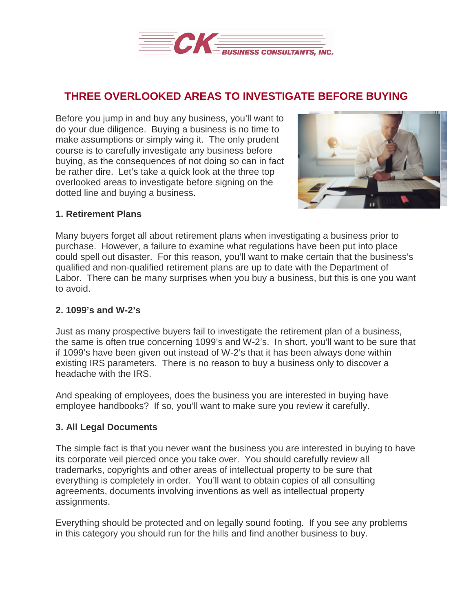

# **THREE OVERLOOKED AREAS TO INVESTIGATE BEFORE BUYING**

Before you jump in and buy any business, you'll want to do your due diligence. Buying a business is no time to make assumptions or simply wing it. The only prudent course is to carefully investigate any business before buying, as the consequences of not doing so can in fact be rather dire. Let's take a quick look at the three top overlooked areas to investigate before signing on the dotted line and buying a business.



### **1. Retirement Plans**

Many buyers forget all about retirement plans when investigating a business prior to purchase. However, a failure to examine what regulations have been put into place could spell out disaster. For this reason, you'll want to make certain that the business's qualified and non-qualified retirement plans are up to date with the Department of Labor. There can be many surprises when you buy a business, but this is one you want to avoid.

#### **2. 1099's and W-2's**

Just as many prospective buyers fail to investigate the retirement plan of a business, the same is often true concerning 1099's and W-2's. In short, you'll want to be sure that if 1099's have been given out instead of W-2's that it has been always done within existing IRS parameters. There is no reason to buy a business only to discover a headache with the IRS.

And speaking of employees, does the business you are interested in buying have employee handbooks? If so, you'll want to make sure you review it carefully.

## **3. All Legal Documents**

The simple fact is that you never want the business you are interested in buying to have its corporate veil pierced once you take over. You should carefully review all trademarks, copyrights and other areas of intellectual property to be sure that everything is completely in order. You'll want to obtain copies of all consulting agreements, documents involving inventions as well as intellectual property assignments.

Everything should be protected and on legally sound footing. If you see any problems in this category you should run for the hills and find another business to buy.